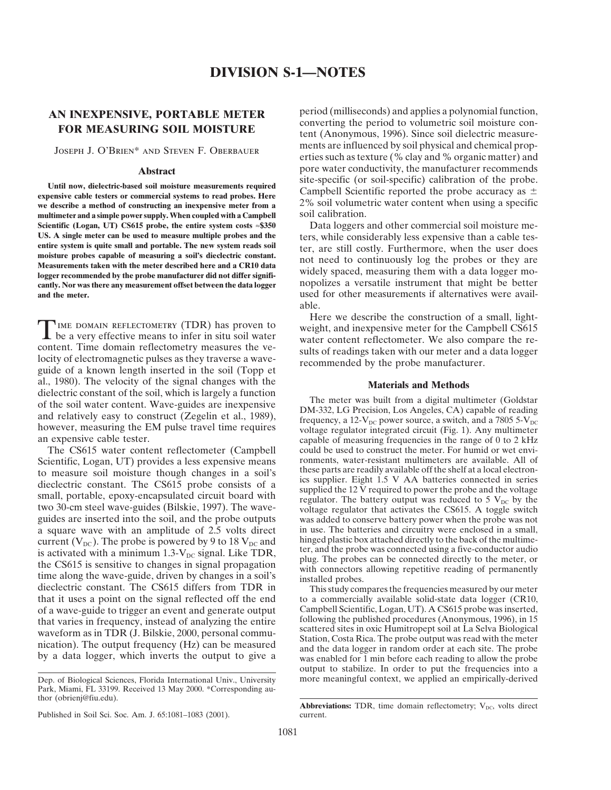expensive cable testers or commercial systems to read probes. Here we describe a method of constructing an inexpensive meter from a 2% soil volumetric water content when using a specific multimeter and a simple nower sumply. When counled with a Campbell soil calibration. multimeter and a simple power supply. When coupled with a Campbell **Scientific (Logan, UT) CS615 probe, the entire system costs ≈\$350** Data loggers and other commercial soil moisture me-<br>**US.** A single meter can be used to measure multiple probes and the ters, while considerably less exp **US. A single meter can be used to measure multiple probes and the** ters, while considerably less expensive than a cable tesentire system is quite small and portable. The new system reads soil<br>
moisture probes capable of measuring a soil's dieclectric constant.<br>
Measurements taken with the meter described here and a CR10 data<br>
logger recommende cantly. Nor was there any measurement offset between the data logger **and the meter.** used for other measurements if alternatives were avail-

TIME DOMAIN REFLECTOMETRY (TDR) has proven to<br>
be a very effective means to infer in situ soil water<br>
content. Time domain reflectometry measures the ve-<br>
locity of electromagnetic pulses as they traverse a wave-<br>
guide of al., 1980). The velocity of the signal changes with the **Materials and Methods** dielectric constant of the soil, which is largely a function<br>of the soil water content. Wave-guides are inexpensive<br>and relatively easy to construct (Zegelin et al., 1989),<br>however, measuring the EM pulse travel time requ

Scientific, Logan, UT) provides a less expensive means ronments, water-resistant multimeters are available. All of the space soil moisture though changes in a soil's these parts are readily available off the shelf at a loc to measure soil moisture though changes in a soil's<br>dieclectric constant. The CS615 probe consists of a<br>small, portable, epoxy-encapsulated circuit board with<br>two 30-cm steel wave-guides (Bilskie, 1997). The wave-<br>voltage two 30-cm steel wave-guides (Bilskie, 1997). The wave-<br>guides are inserted into the soil, and the probe outputs was added to conserve battery power when the probe was not a square wave with an amplitude of 2.5 volts direct in use. The batteries and circuitry were enclosed in a small, current  $(V_{\text{net}})$ . The probe is nowered by 9 to 18  $V_{\text{net}}$  and hinged plastic box attached directly to t current  $(V_{DC})$ . The probe is powered by 9 to 18  $V_{DC}$  and hinged plastic box attached directly to the back of the multime-<br>is activated with a minimum 1.3 V signal Like TDP is activated with a minimum 1.3-V<sub>DC</sub> signal. Like TDR,<br>the CS615 is sensitive to changes in signal propagation<br>time along the wave-guide, driven by changes in a soil's<br>dieclectric constant. The CS615 differs from TDR in<br> that it uses a point on the signal reflected off the end to a commercially available solid-state data logger (CR10, of a wave-guide to trigger an event and generate output Campbell Scientific, Logan, UT). A CS615 probe was of a wave-guide to trigger an event and generate output Campbell Scientific, Logan, UT). A CS615 probe was inserted,<br>that varies in frequency instead of analyzing the entire following the published procedures (Anonymous, 1

**AN INEXPENSIVE, PORTABLE METER** period (milliseconds) and applies a polynomial function,<br>
converting the period to volumetric soil moisture con-**FOR MEASURING SOIL MOISTURE** tent (Anonymous, 1996). Since soil dielectric measure-JOSEPH J. O'BRIEN\* AND STEVEN F. OBERBAUER ments are influenced by soil physical and chemical prop-<br>erties such as texture (% clay and % organic matter) and Abstract pore water conductivity, the manufacturer recommends<br>
and the manufacturer recommends<br> **Abstract** probe. Until now, dielectric-based soil moisture measurements required<br>
Campbell Scientific reported the probe accuracy as  $\pm$ 

able.

The CS615 water content reflectometer (Campbell could be used to construct the meter. For humid or wet envi-<br>
entitienties Logan UT) provides a less expensive means conments, water-resistant multimeters are available. All

that varies in frequency, instead of analyzing the entire<br>waveform as in TDR (J. Bilskie, 2000, personal commu-<br>nication). The output frequency (Hz) can be measured<br>by a data logger, which inverts the output to give a<br>by a output to stabilize. In order to put the frequencies into a Dep. of Biological Sciences, Florida International Univ., University more meaningful context, we applied an empirically-derived

Park, Miami, FL 33199. Received 13 May 2000. \*Corresponding author (obrienj@fiu.edu).

Published in Soil Sci. Soc. Am. J. 65:1081–1083 (2001). current.

Abbreviations: TDR, time domain reflectometry; V<sub>DC</sub>, volts direct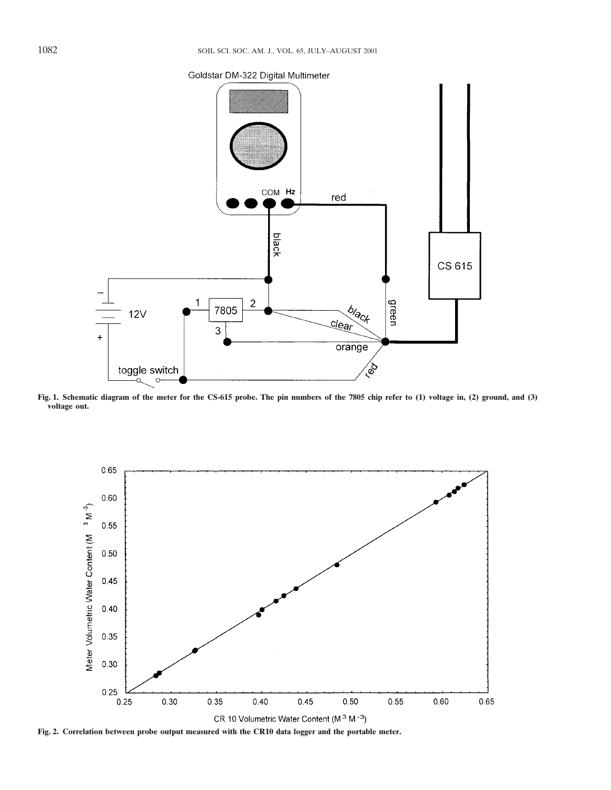# Goldstar DM-322 Digital Multimeter



**Fig. 1. Schematic diagram of the meter for the CS-615 probe. The pin numbers of the 7805 chip refer to (1) voltage in, (2) ground, and (3) voltage out.**



**Fig. 2. Correlation between probe output measured with the CR10 data logger and the portable meter.**